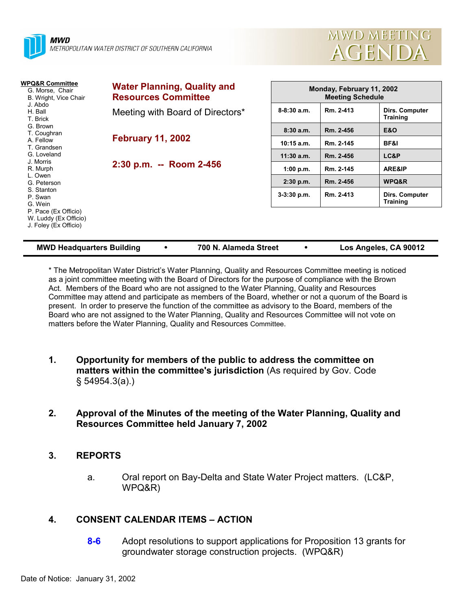



| WPQ&R Committee<br>G. Morse, Chair<br>B. Wright, Vice Chair            | <b>Water Planning, Quality and</b><br><b>Resources Committee</b> | Monday, February 11, 2002<br><b>Meeting Schedule</b> |           |                                   |  |
|------------------------------------------------------------------------|------------------------------------------------------------------|------------------------------------------------------|-----------|-----------------------------------|--|
| J. Abdo<br>H. Ball<br>T. Brick                                         | Meeting with Board of Directors*                                 | $8 - 8:30$ a.m.                                      | Rm. 2-413 | Dirs. Computer<br><b>Training</b> |  |
| G. Brown<br>T. Coughran                                                | <b>February 11, 2002</b>                                         | 8:30a.m.                                             | Rm. 2-456 | <b>E&amp;O</b>                    |  |
| A. Fellow<br>T. Grandsen                                               |                                                                  | $10:15$ a.m.                                         | Rm. 2-145 | BF&I                              |  |
| G. Loveland                                                            |                                                                  | $11:30$ a.m.                                         | Rm. 2-456 | LC&P                              |  |
| J. Morris<br>R. Murph                                                  | 2:30 p.m. -- Room 2-456                                          | 1:00 p.m.                                            | Rm. 2-145 | ARE&IP                            |  |
| L. Owen<br>G. Peterson                                                 |                                                                  | $2:30$ p.m.                                          | Rm. 2-456 | WPQ&R                             |  |
| S. Stanton<br>P. Swan<br>G. Wein                                       |                                                                  | $3-3:30$ p.m.                                        | Rm. 2-413 | Dirs. Computer<br><b>Training</b> |  |
| P. Pace (Ex Officio)<br>W. Luddy (Ex Officio)<br>J. Foley (Ex Officio) |                                                                  |                                                      |           |                                   |  |

| <b>MWD Headquarters Building</b> |  | 700 N. Alameda Street |  | Los Angeles, CA 90012 |
|----------------------------------|--|-----------------------|--|-----------------------|
|----------------------------------|--|-----------------------|--|-----------------------|

\* The Metropolitan Water Districtís Water Planning, Quality and Resources Committee meeting is noticed as a joint committee meeting with the Board of Directors for the purpose of compliance with the Brown Act. Members of the Board who are not assigned to the Water Planning, Quality and Resources Committee may attend and participate as members of the Board, whether or not a quorum of the Board is present. In order to preserve the function of the committee as advisory to the Board, members of the Board who are not assigned to the Water Planning, Quality and Resources Committee will not vote on matters before the Water Planning, Quality and Resources Committee.

**1. Opportunity for members of the public to address the committee on matters within the committee's jurisdiction** (As required by Gov. Code ß 54954.3(a).)

# **2. Approval of the Minutes of the meeting of the Water Planning, Quality and Resources Committee held January 7, 2002**

# **3. REPORTS**

a. Oral report on Bay-Delta and State Water Project matters. (LC&P, WPQ&R)

# **4. CONSENT CALENDAR ITEMS – ACTION**

**8-6** Adopt resolutions to support applications for Proposition 13 grants for groundwater storage construction projects. (WPQ&R)